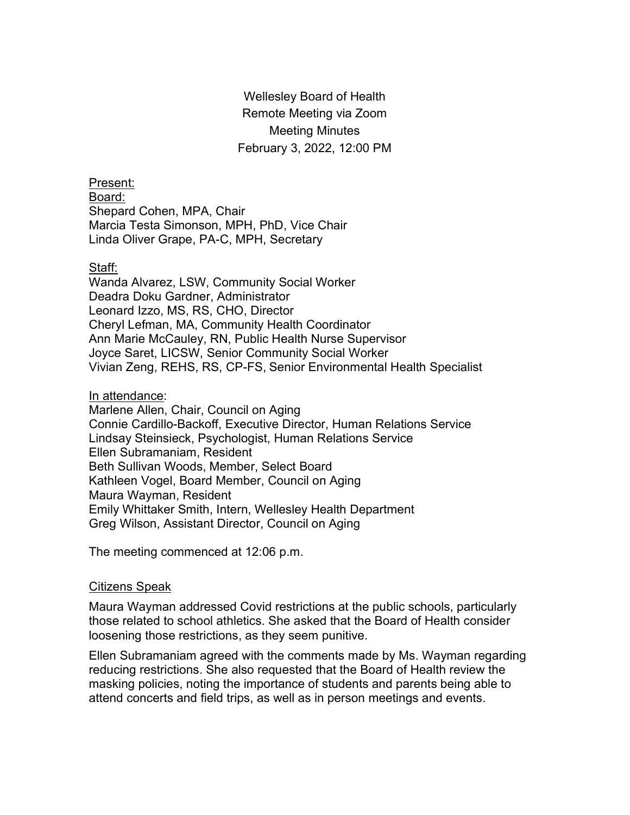Wellesley Board of Health Remote Meeting via Zoom Meeting Minutes February 3, 2022, 12:00 PM

Present: Board: Shepard Cohen, MPA, Chair Marcia Testa Simonson, MPH, PhD, Vice Chair Linda Oliver Grape, PA-C, MPH, Secretary

### Staff:

Wanda Alvarez, LSW, Community Social Worker Deadra Doku Gardner, Administrator Leonard Izzo, MS, RS, CHO, Director Cheryl Lefman, MA, Community Health Coordinator Ann Marie McCauley, RN, Public Health Nurse Supervisor Joyce Saret, LICSW, Senior Community Social Worker Vivian Zeng, REHS, RS, CP-FS, Senior Environmental Health Specialist

#### In attendance:

Marlene Allen, Chair, Council on Aging Connie Cardillo-Backoff, Executive Director, Human Relations Service Lindsay Steinsieck, Psychologist, Human Relations Service Ellen Subramaniam, Resident Beth Sullivan Woods, Member, Select Board Kathleen Vogel, Board Member, Council on Aging Maura Wayman, Resident Emily Whittaker Smith, Intern, Wellesley Health Department Greg Wilson, Assistant Director, Council on Aging

The meeting commenced at 12:06 p.m.

### Citizens Speak

Maura Wayman addressed Covid restrictions at the public schools, particularly those related to school athletics. She asked that the Board of Health consider loosening those restrictions, as they seem punitive.

Ellen Subramaniam agreed with the comments made by Ms. Wayman regarding reducing restrictions. She also requested that the Board of Health review the masking policies, noting the importance of students and parents being able to attend concerts and field trips, as well as in person meetings and events.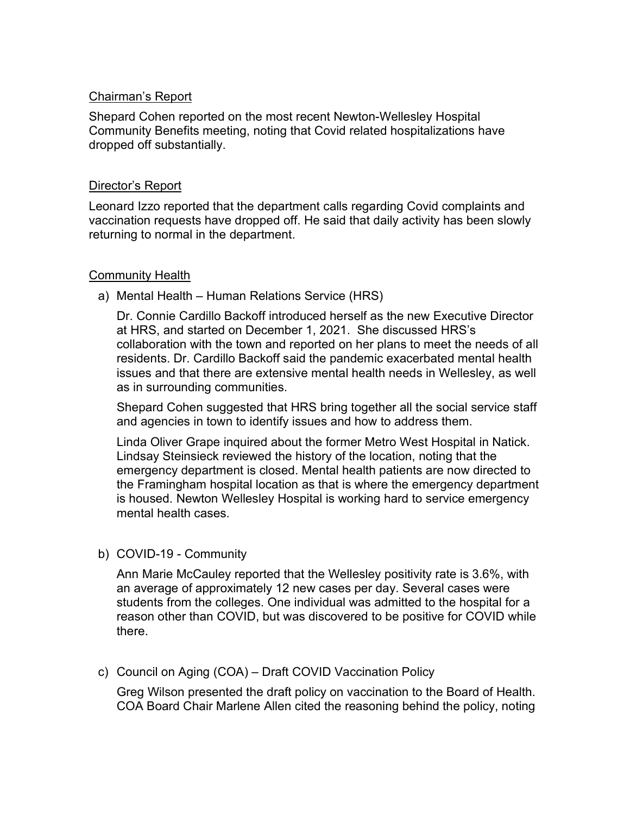# Chairman's Report

Shepard Cohen reported on the most recent Newton-Wellesley Hospital Community Benefits meeting, noting that Covid related hospitalizations have dropped off substantially.

## Director's Report

Leonard Izzo reported that the department calls regarding Covid complaints and vaccination requests have dropped off. He said that daily activity has been slowly returning to normal in the department.

### Community Health

a) Mental Health – Human Relations Service (HRS)

Dr. Connie Cardillo Backoff introduced herself as the new Executive Director at HRS, and started on December 1, 2021. She discussed HRS's collaboration with the town and reported on her plans to meet the needs of all residents. Dr. Cardillo Backoff said the pandemic exacerbated mental health issues and that there are extensive mental health needs in Wellesley, as well as in surrounding communities.

Shepard Cohen suggested that HRS bring together all the social service staff and agencies in town to identify issues and how to address them.

Linda Oliver Grape inquired about the former Metro West Hospital in Natick. Lindsay Steinsieck reviewed the history of the location, noting that the emergency department is closed. Mental health patients are now directed to the Framingham hospital location as that is where the emergency department is housed. Newton Wellesley Hospital is working hard to service emergency mental health cases.

b) COVID-19 - Community

Ann Marie McCauley reported that the Wellesley positivity rate is 3.6%, with an average of approximately 12 new cases per day. Several cases were students from the colleges. One individual was admitted to the hospital for a reason other than COVID, but was discovered to be positive for COVID while there.

c) Council on Aging (COA) – Draft COVID Vaccination Policy

Greg Wilson presented the draft policy on vaccination to the Board of Health. COA Board Chair Marlene Allen cited the reasoning behind the policy, noting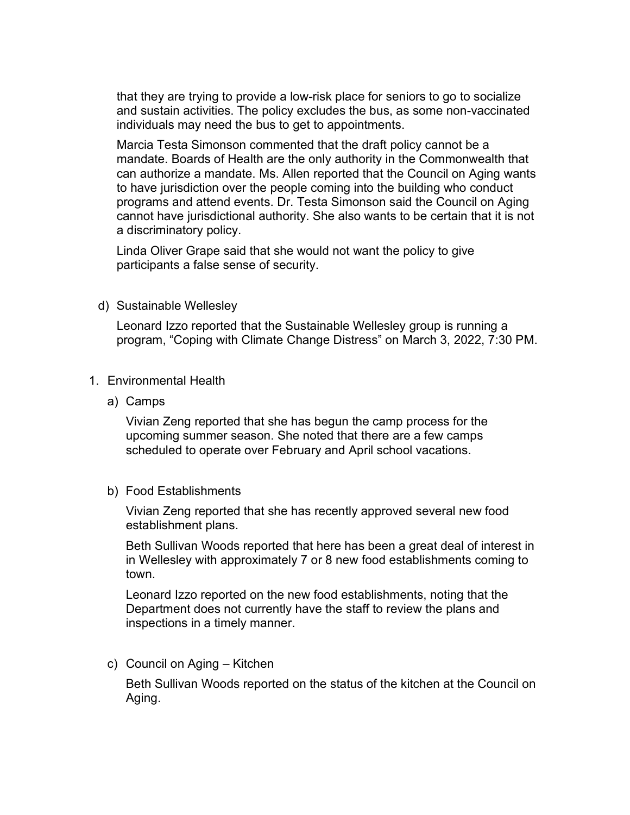that they are trying to provide a low-risk place for seniors to go to socialize and sustain activities. The policy excludes the bus, as some non-vaccinated individuals may need the bus to get to appointments.

Marcia Testa Simonson commented that the draft policy cannot be a mandate. Boards of Health are the only authority in the Commonwealth that can authorize a mandate. Ms. Allen reported that the Council on Aging wants to have jurisdiction over the people coming into the building who conduct programs and attend events. Dr. Testa Simonson said the Council on Aging cannot have jurisdictional authority. She also wants to be certain that it is not a discriminatory policy.

Linda Oliver Grape said that she would not want the policy to give participants a false sense of security.

d) Sustainable Wellesley

Leonard Izzo reported that the Sustainable Wellesley group is running a program, "Coping with Climate Change Distress" on March 3, 2022, 7:30 PM.

- 1. Environmental Health
	- a) Camps

Vivian Zeng reported that she has begun the camp process for the upcoming summer season. She noted that there are a few camps scheduled to operate over February and April school vacations.

b) Food Establishments

Vivian Zeng reported that she has recently approved several new food establishment plans.

Beth Sullivan Woods reported that here has been a great deal of interest in in Wellesley with approximately 7 or 8 new food establishments coming to town.

Leonard Izzo reported on the new food establishments, noting that the Department does not currently have the staff to review the plans and inspections in a timely manner.

c) Council on Aging – Kitchen

Beth Sullivan Woods reported on the status of the kitchen at the Council on Aging.